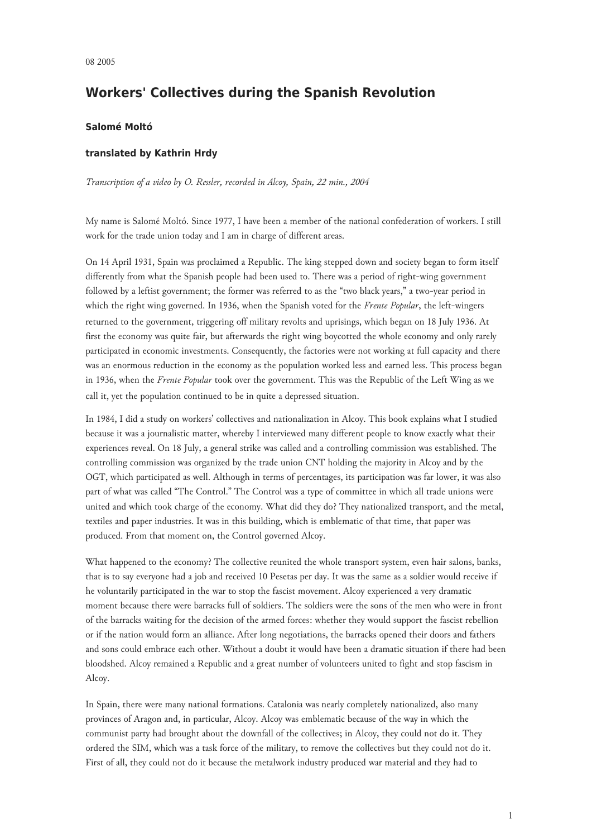## **Workers' Collectives during the Spanish Revolution**

## **Salomé Moltó**

## **translated by Kathrin Hrdy**

*Transcription of a video by O. Ressler, recorded in Alcoy, Spain, 22 min., 2004*

My name is Salomé Moltó. Since 1977, I have been a member of the national confederation of workers. I still work for the trade union today and I am in charge of different areas.

On 14 April 1931, Spain was proclaimed a Republic. The king stepped down and society began to form itself differently from what the Spanish people had been used to. There was a period of right-wing government followed by a leftist government; the former was referred to as the "two black years," a two-year period in which the right wing governed. In 1936, when the Spanish voted for the *Frente Popular*, the left-wingers returned to the government, triggering off military revolts and uprisings, which began on 18 July 1936. At first the economy was quite fair, but afterwards the right wing boycotted the whole economy and only rarely participated in economic investments. Consequently, the factories were not working at full capacity and there was an enormous reduction in the economy as the population worked less and earned less. This process began in 1936, when the *Frente Popular* took over the government. This was the Republic of the Left Wing as we call it, yet the population continued to be in quite a depressed situation.

In 1984, I did a study on workers' collectives and nationalization in Alcoy. This book explains what I studied because it was a journalistic matter, whereby I interviewed many different people to know exactly what their experiences reveal. On 18 July, a general strike was called and a controlling commission was established. The controlling commission was organized by the trade union CNT holding the majority in Alcoy and by the OGT, which participated as well. Although in terms of percentages, its participation was far lower, it was also part of what was called "The Control." The Control was a type of committee in which all trade unions were united and which took charge of the economy. What did they do? They nationalized transport, and the metal, textiles and paper industries. It was in this building, which is emblematic of that time, that paper was produced. From that moment on, the Control governed Alcoy.

What happened to the economy? The collective reunited the whole transport system, even hair salons, banks, that is to say everyone had a job and received 10 Pesetas per day. It was the same as a soldier would receive if he voluntarily participated in the war to stop the fascist movement. Alcoy experienced a very dramatic moment because there were barracks full of soldiers. The soldiers were the sons of the men who were in front of the barracks waiting for the decision of the armed forces: whether they would support the fascist rebellion or if the nation would form an alliance. After long negotiations, the barracks opened their doors and fathers and sons could embrace each other. Without a doubt it would have been a dramatic situation if there had been bloodshed. Alcoy remained a Republic and a great number of volunteers united to fight and stop fascism in Alcoy.

In Spain, there were many national formations. Catalonia was nearly completely nationalized, also many provinces of Aragon and, in particular, Alcoy. Alcoy was emblematic because of the way in which the communist party had brought about the downfall of the collectives; in Alcoy, they could not do it. They ordered the SIM, which was a task force of the military, to remove the collectives but they could not do it. First of all, they could not do it because the metalwork industry produced war material and they had to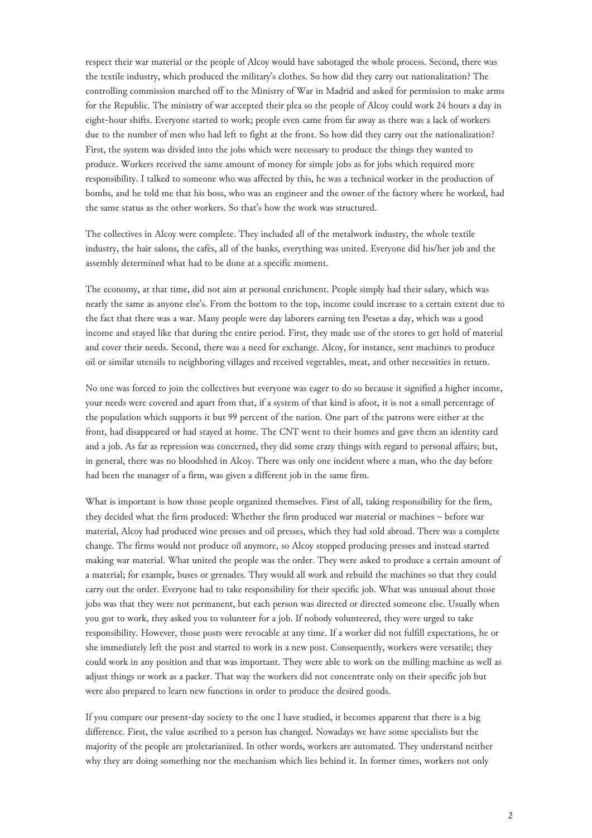respect their war material or the people of Alcoy would have sabotaged the whole process. Second, there was the textile industry, which produced the military's clothes. So how did they carry out nationalization? The controlling commission marched off to the Ministry of War in Madrid and asked for permission to make arms for the Republic. The ministry of war accepted their plea so the people of Alcoy could work 24 hours a day in eight-hour shifts. Everyone started to work; people even came from far away as there was a lack of workers due to the number of men who had left to fight at the front. So how did they carry out the nationalization? First, the system was divided into the jobs which were necessary to produce the things they wanted to produce. Workers received the same amount of money for simple jobs as for jobs which required more responsibility. I talked to someone who was affected by this, he was a technical worker in the production of bombs, and he told me that his boss, who was an engineer and the owner of the factory where he worked, had the same status as the other workers. So that's how the work was structured.

The collectives in Alcoy were complete. They included all of the metalwork industry, the whole textile industry, the hair salons, the cafés, all of the banks, everything was united. Everyone did his/her job and the assembly determined what had to be done at a specific moment.

The economy, at that time, did not aim at personal enrichment. People simply had their salary, which was nearly the same as anyone else's. From the bottom to the top, income could increase to a certain extent due to the fact that there was a war. Many people were day laborers earning ten Pesetas a day, which was a good income and stayed like that during the entire period. First, they made use of the stores to get hold of material and cover their needs. Second, there was a need for exchange. Alcoy, for instance, sent machines to produce oil or similar utensils to neighboring villages and received vegetables, meat, and other necessities in return.

No one was forced to join the collectives but everyone was eager to do so because it signified a higher income, your needs were covered and apart from that, if a system of that kind is afoot, it is not a small percentage of the population which supports it but 99 percent of the nation. One part of the patrons were either at the front, had disappeared or had stayed at home. The CNT went to their homes and gave them an identity card and a job. As far as repression was concerned, they did some crazy things with regard to personal affairs; but, in general, there was no bloodshed in Alcoy. There was only one incident where a man, who the day before had been the manager of a firm, was given a different job in the same firm.

What is important is how those people organized themselves. First of all, taking responsibility for the firm, they decided what the firm produced: Whether the firm produced war material or machines – before war material, Alcoy had produced wine presses and oil presses, which they had sold abroad. There was a complete change. The firms would not produce oil anymore, so Alcoy stopped producing presses and instead started making war material. What united the people was the order. They were asked to produce a certain amount of a material; for example, buses or grenades. They would all work and rebuild the machines so that they could carry out the order. Everyone had to take responsibility for their specific job. What was unusual about those jobs was that they were not permanent, but each person was directed or directed someone else. Usually when you got to work, they asked you to volunteer for a job. If nobody volunteered, they were urged to take responsibility. However, those posts were revocable at any time. If a worker did not fulfill expectations, he or she immediately left the post and started to work in a new post. Consequently, workers were versatile; they could work in any position and that was important. They were able to work on the milling machine as well as adjust things or work as a packer. That way the workers did not concentrate only on their specific job but were also prepared to learn new functions in order to produce the desired goods.

If you compare our present-day society to the one I have studied, it becomes apparent that there is a big difference. First, the value ascribed to a person has changed. Nowadays we have some specialists but the majority of the people are proletarianized. In other words, workers are automated. They understand neither why they are doing something nor the mechanism which lies behind it. In former times, workers not only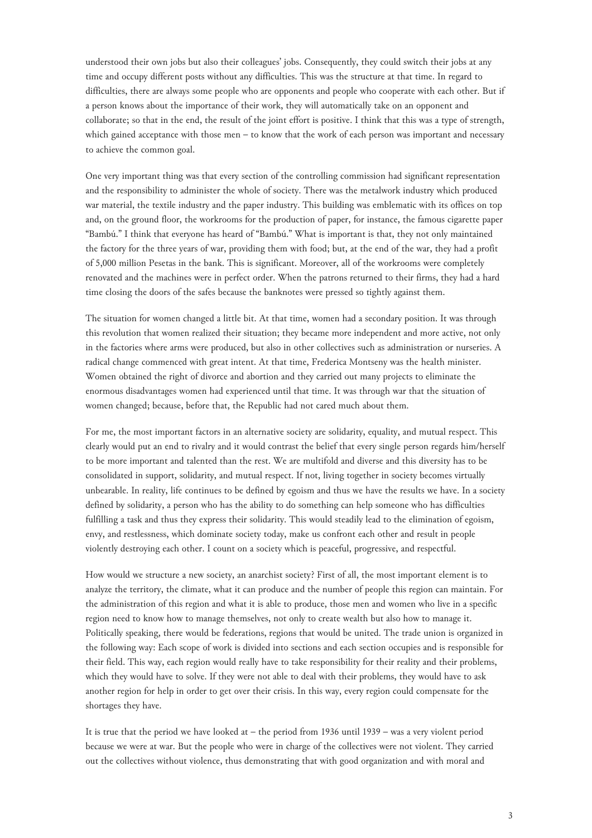understood their own jobs but also their colleagues' jobs. Consequently, they could switch their jobs at any time and occupy different posts without any difficulties. This was the structure at that time. In regard to difficulties, there are always some people who are opponents and people who cooperate with each other. But if a person knows about the importance of their work, they will automatically take on an opponent and collaborate; so that in the end, the result of the joint effort is positive. I think that this was a type of strength, which gained acceptance with those men – to know that the work of each person was important and necessary to achieve the common goal.

One very important thing was that every section of the controlling commission had significant representation and the responsibility to administer the whole of society. There was the metalwork industry which produced war material, the textile industry and the paper industry. This building was emblematic with its offices on top and, on the ground floor, the workrooms for the production of paper, for instance, the famous cigarette paper "Bambú." I think that everyone has heard of "Bambú." What is important is that, they not only maintained the factory for the three years of war, providing them with food; but, at the end of the war, they had a profit of 5,000 million Pesetas in the bank. This is significant. Moreover, all of the workrooms were completely renovated and the machines were in perfect order. When the patrons returned to their firms, they had a hard time closing the doors of the safes because the banknotes were pressed so tightly against them.

The situation for women changed a little bit. At that time, women had a secondary position. It was through this revolution that women realized their situation; they became more independent and more active, not only in the factories where arms were produced, but also in other collectives such as administration or nurseries. A radical change commenced with great intent. At that time, Frederica Montseny was the health minister. Women obtained the right of divorce and abortion and they carried out many projects to eliminate the enormous disadvantages women had experienced until that time. It was through war that the situation of women changed; because, before that, the Republic had not cared much about them.

For me, the most important factors in an alternative society are solidarity, equality, and mutual respect. This clearly would put an end to rivalry and it would contrast the belief that every single person regards him/herself to be more important and talented than the rest. We are multifold and diverse and this diversity has to be consolidated in support, solidarity, and mutual respect. If not, living together in society becomes virtually unbearable. In reality, life continues to be defined by egoism and thus we have the results we have. In a society defined by solidarity, a person who has the ability to do something can help someone who has difficulties fulfilling a task and thus they express their solidarity. This would steadily lead to the elimination of egoism, envy, and restlessness, which dominate society today, make us confront each other and result in people violently destroying each other. I count on a society which is peaceful, progressive, and respectful.

How would we structure a new society, an anarchist society? First of all, the most important element is to analyze the territory, the climate, what it can produce and the number of people this region can maintain. For the administration of this region and what it is able to produce, those men and women who live in a specific region need to know how to manage themselves, not only to create wealth but also how to manage it. Politically speaking, there would be federations, regions that would be united. The trade union is organized in the following way: Each scope of work is divided into sections and each section occupies and is responsible for their field. This way, each region would really have to take responsibility for their reality and their problems, which they would have to solve. If they were not able to deal with their problems, they would have to ask another region for help in order to get over their crisis. In this way, every region could compensate for the shortages they have.

It is true that the period we have looked at – the period from 1936 until 1939 – was a very violent period because we were at war. But the people who were in charge of the collectives were not violent. They carried out the collectives without violence, thus demonstrating that with good organization and with moral and